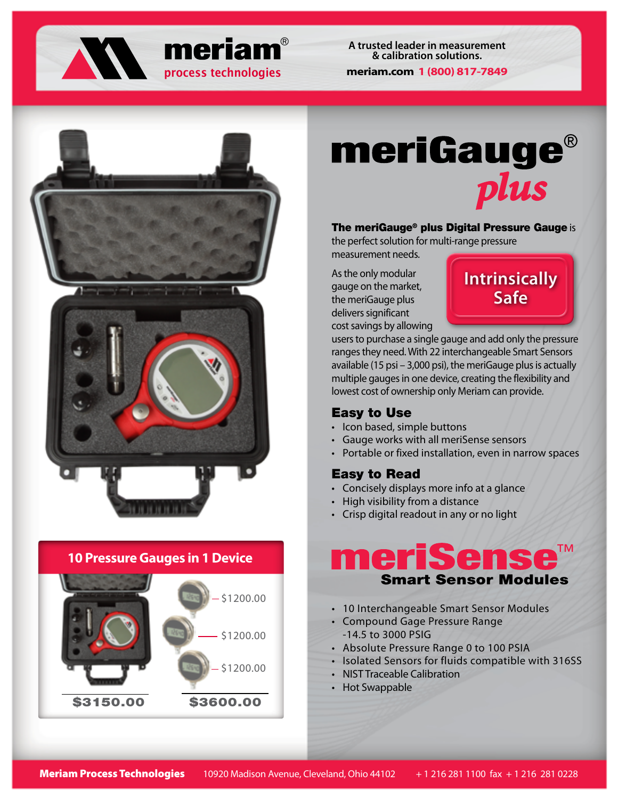



**A trusted leader in measurement & calibration solutions. meriam.com 1 (800) 817-7849**



### **10 Pressure Gauges in 1 Device**



**meriGauge®** plus

#### The meriGauge® plus Digital Pressure Gauge is

the perfect solution for multi-range pressure measurement needs.

As the only modular gauge on the market, the meriGauge plus delivers significant cost savings by allowing



users to purchase a single gauge and add only the pressure ranges they need. With 22 interchangeable Smart Sensors available (15 psi – 3,000 psi), the meriGauge plus is actually multiple gauges in one device, creating the flexibility and lowest cost of ownership only Meriam can provide.

#### Easy to Use

- Icon based, simple buttons
- Gauge works with all meriSense sensors
- Portable or fixed installation, even in narrow spaces

#### Easy to Read

- Concisely displays more info at a glance
- High visibility from a distance
- Crisp digital readout in any or no light

## meriSen Smart Sensor Modules

- 10 Interchangeable Smart Sensor Modules
- Compound Gage Pressure Range -14.5 to 3000 PSIG
- Absolute Pressure Range 0 to 100 PSIA
- Isolated Sensors for fluids compatible with 316SS
- NIST Traceable Calibration
- Hot Swappable